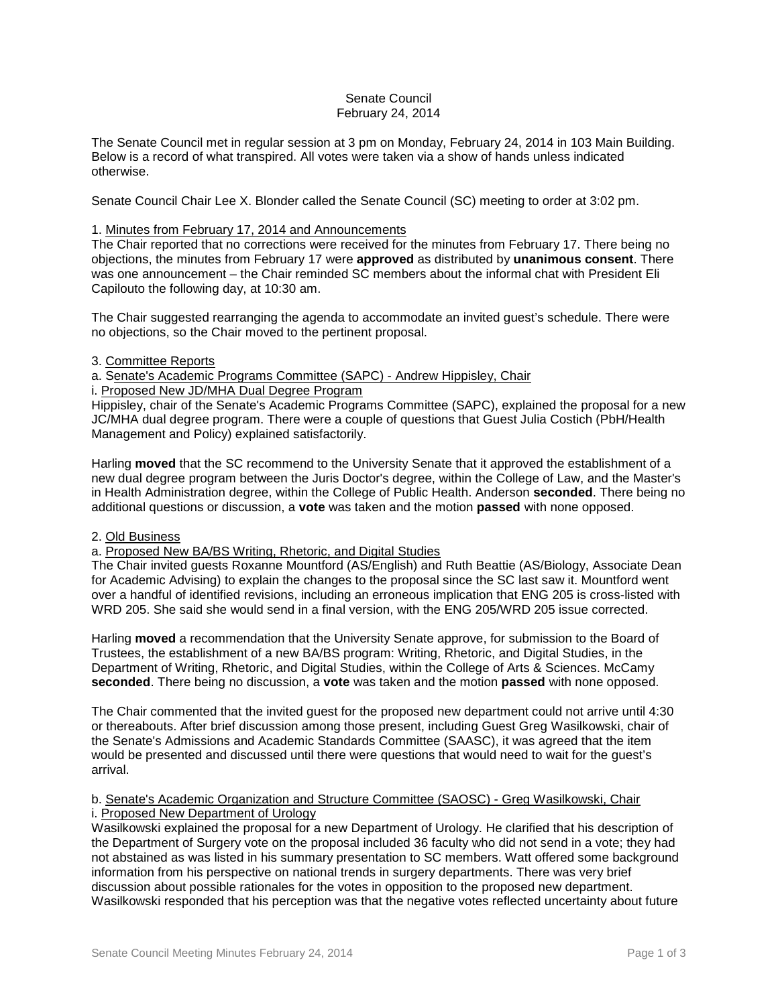# Senate Council February 24, 2014

The Senate Council met in regular session at 3 pm on Monday, February 24, 2014 in 103 Main Building. Below is a record of what transpired. All votes were taken via a show of hands unless indicated otherwise.

Senate Council Chair Lee X. Blonder called the Senate Council (SC) meeting to order at 3:02 pm.

# 1. Minutes from February 17, 2014 and Announcements

The Chair reported that no corrections were received for the minutes from February 17. There being no objections, the minutes from February 17 were **approved** as distributed by **unanimous consent**. There was one announcement – the Chair reminded SC members about the informal chat with President Eli Capilouto the following day, at 10:30 am.

The Chair suggested rearranging the agenda to accommodate an invited guest's schedule. There were no objections, so the Chair moved to the pertinent proposal.

## 3. Committee Reports

a. Senate's Academic Programs Committee (SAPC) - Andrew Hippisley, Chair

i. Proposed New JD/MHA Dual Degree Program

Hippisley, chair of the Senate's Academic Programs Committee (SAPC), explained the proposal for a new JC/MHA dual degree program. There were a couple of questions that Guest Julia Costich (PbH/Health Management and Policy) explained satisfactorily.

Harling **moved** that the SC recommend to the University Senate that it approved the establishment of a new dual degree program between the Juris Doctor's degree, within the College of Law, and the Master's in Health Administration degree, within the College of Public Health. Anderson **seconded**. There being no additional questions or discussion, a **vote** was taken and the motion **passed** with none opposed.

## 2. Old Business

# a. Proposed New BA/BS Writing, Rhetoric, and Digital Studies

The Chair invited guests Roxanne Mountford (AS/English) and Ruth Beattie (AS/Biology, Associate Dean for Academic Advising) to explain the changes to the proposal since the SC last saw it. Mountford went over a handful of identified revisions, including an erroneous implication that ENG 205 is cross-listed with WRD 205. She said she would send in a final version, with the ENG 205/WRD 205 issue corrected.

Harling **moved** a recommendation that the University Senate approve, for submission to the Board of Trustees, the establishment of a new BA/BS program: Writing, Rhetoric, and Digital Studies, in the Department of Writing, Rhetoric, and Digital Studies, within the College of Arts & Sciences. McCamy **seconded**. There being no discussion, a **vote** was taken and the motion **passed** with none opposed.

The Chair commented that the invited guest for the proposed new department could not arrive until 4:30 or thereabouts. After brief discussion among those present, including Guest Greg Wasilkowski, chair of the Senate's Admissions and Academic Standards Committee (SAASC), it was agreed that the item would be presented and discussed until there were questions that would need to wait for the guest's arrival.

## b. Senate's Academic Organization and Structure Committee (SAOSC) - Greg Wasilkowski, Chair i. Proposed New Department of Urology

Wasilkowski explained the proposal for a new Department of Urology. He clarified that his description of the Department of Surgery vote on the proposal included 36 faculty who did not send in a vote; they had not abstained as was listed in his summary presentation to SC members. Watt offered some background information from his perspective on national trends in surgery departments. There was very brief discussion about possible rationales for the votes in opposition to the proposed new department. Wasilkowski responded that his perception was that the negative votes reflected uncertainty about future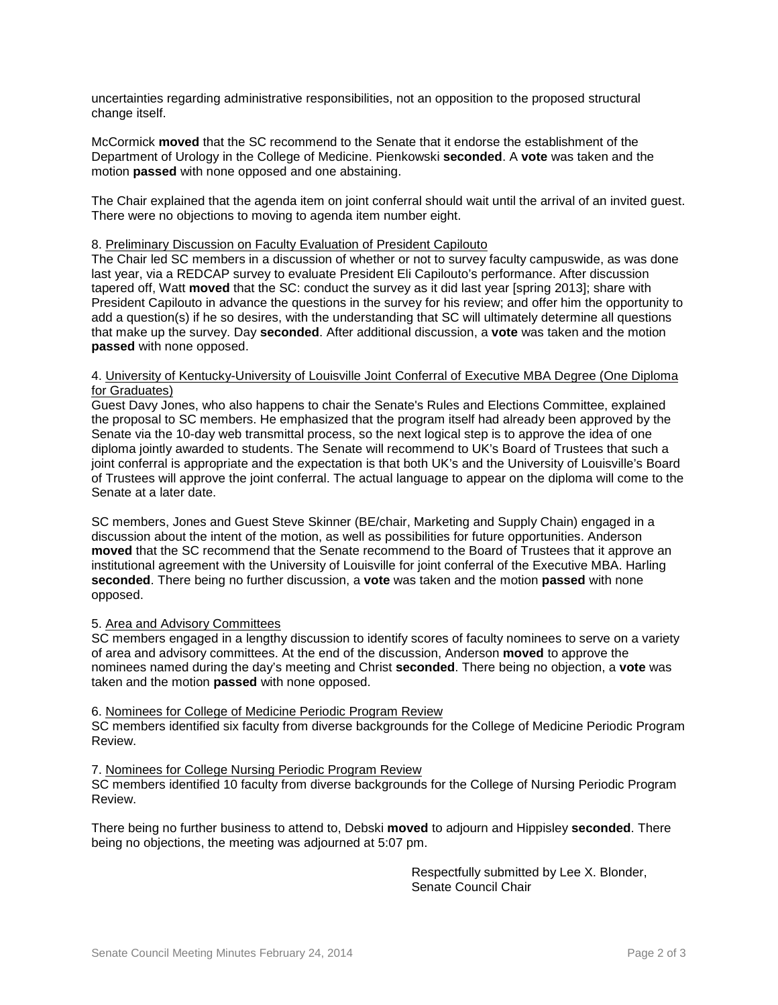uncertainties regarding administrative responsibilities, not an opposition to the proposed structural change itself.

McCormick **moved** that the SC recommend to the Senate that it endorse the establishment of the Department of Urology in the College of Medicine. Pienkowski **seconded**. A **vote** was taken and the motion **passed** with none opposed and one abstaining.

The Chair explained that the agenda item on joint conferral should wait until the arrival of an invited guest. There were no objections to moving to agenda item number eight.

#### 8. Preliminary Discussion on Faculty Evaluation of President Capilouto

The Chair led SC members in a discussion of whether or not to survey faculty campuswide, as was done last year, via a REDCAP survey to evaluate President Eli Capilouto's performance. After discussion tapered off, Watt **moved** that the SC: conduct the survey as it did last year [spring 2013]; share with President Capilouto in advance the questions in the survey for his review; and offer him the opportunity to add a question(s) if he so desires, with the understanding that SC will ultimately determine all questions that make up the survey. Day **seconded**. After additional discussion, a **vote** was taken and the motion **passed** with none opposed.

### 4. University of Kentucky-University of Louisville Joint Conferral of Executive MBA Degree (One Diploma for Graduates)

Guest Davy Jones, who also happens to chair the Senate's Rules and Elections Committee, explained the proposal to SC members. He emphasized that the program itself had already been approved by the Senate via the 10-day web transmittal process, so the next logical step is to approve the idea of one diploma jointly awarded to students. The Senate will recommend to UK's Board of Trustees that such a joint conferral is appropriate and the expectation is that both UK's and the University of Louisville's Board of Trustees will approve the joint conferral. The actual language to appear on the diploma will come to the Senate at a later date.

SC members, Jones and Guest Steve Skinner (BE/chair, Marketing and Supply Chain) engaged in a discussion about the intent of the motion, as well as possibilities for future opportunities. Anderson **moved** that the SC recommend that the Senate recommend to the Board of Trustees that it approve an institutional agreement with the University of Louisville for joint conferral of the Executive MBA. Harling **seconded**. There being no further discussion, a **vote** was taken and the motion **passed** with none opposed.

## 5. Area and Advisory Committees

SC members engaged in a lengthy discussion to identify scores of faculty nominees to serve on a variety of area and advisory committees. At the end of the discussion, Anderson **moved** to approve the nominees named during the day's meeting and Christ **seconded**. There being no objection, a **vote** was taken and the motion **passed** with none opposed.

## 6. Nominees for College of Medicine Periodic Program Review

SC members identified six faculty from diverse backgrounds for the College of Medicine Periodic Program Review.

### 7. Nominees for College Nursing Periodic Program Review

SC members identified 10 faculty from diverse backgrounds for the College of Nursing Periodic Program Review.

There being no further business to attend to, Debski **moved** to adjourn and Hippisley **seconded**. There being no objections, the meeting was adjourned at 5:07 pm.

> Respectfully submitted by Lee X. Blonder, Senate Council Chair